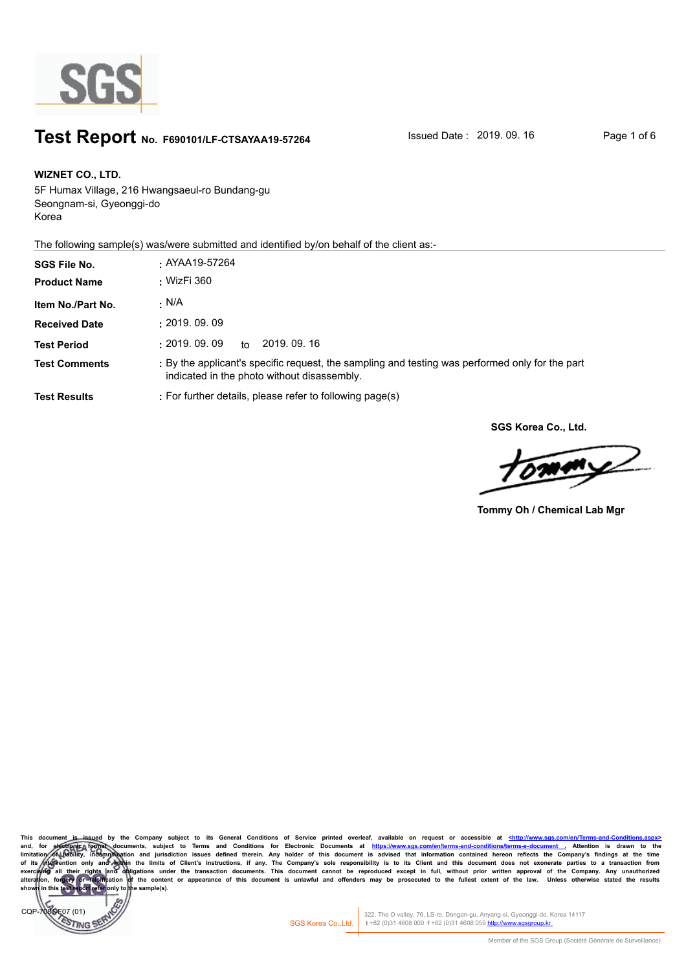

## **Test Report** No. F690101/LF-CTSAYAA19-57264 Issued Date : 2019. 09. 16 Page 1 of 6

**WIZNET CO., LTD. SGS File No. :** AYAA19-57264 5F Humax Village, 216 Hwangsaeul-ro Bundang-gu Seongnam-si, Gyeonggi-do Korea

The following sample(s) was/were submitted and identified by/on behalf of the client as:-

| <b>SGS File No.</b>  | . AYAA19-57264                                                                                                                                 |
|----------------------|------------------------------------------------------------------------------------------------------------------------------------------------|
| <b>Product Name</b>  | : WizFi 360                                                                                                                                    |
| Item No./Part No.    | · N/A                                                                                                                                          |
| <b>Received Date</b> | : 2019.09.09                                                                                                                                   |
| <b>Test Period</b>   | $\pm 2019.$ $09.$ $09$<br>2019, 09, 16<br>to                                                                                                   |
| <b>Test Comments</b> | : By the applicant's specific request, the sampling and testing was performed only for the part<br>indicated in the photo without disassembly. |
| <b>Test Results</b>  | : For further details, please refer to following page(s)                                                                                       |

**SGS Korea Co., Ltd.**

 $\boldsymbol{\mathcal{Z}}$ n,

**Tommy Oh / Chemical Lab Mgr**

**This document is issued by the Company subject to its General Conditions of Service printed overleaf, available on request or accessible at <http://www.sgs.com/en/Terms-and-Conditions.aspx>** and, for electronic format documents, subject to Terms and Conditions for Electronic Documents at https://www.sgs.com/en/terms-and-conditions/terms-e-document attention is drawn to the lime limitation/of the biling at the limitation of thebility, indemnification and jurisdiction issues defined therein. Any holder of this document is advised that information contained hereon reflects the Company's findings at the time<br>of its (niervention onl exercising all their rights and obligations under the transaction documents. This document cannot be reproduced except in full, without prior written approval of the Company. Any unauthorized<br>alteration, forgery of falsifi **shown in this test report refer only to the sample(s).**

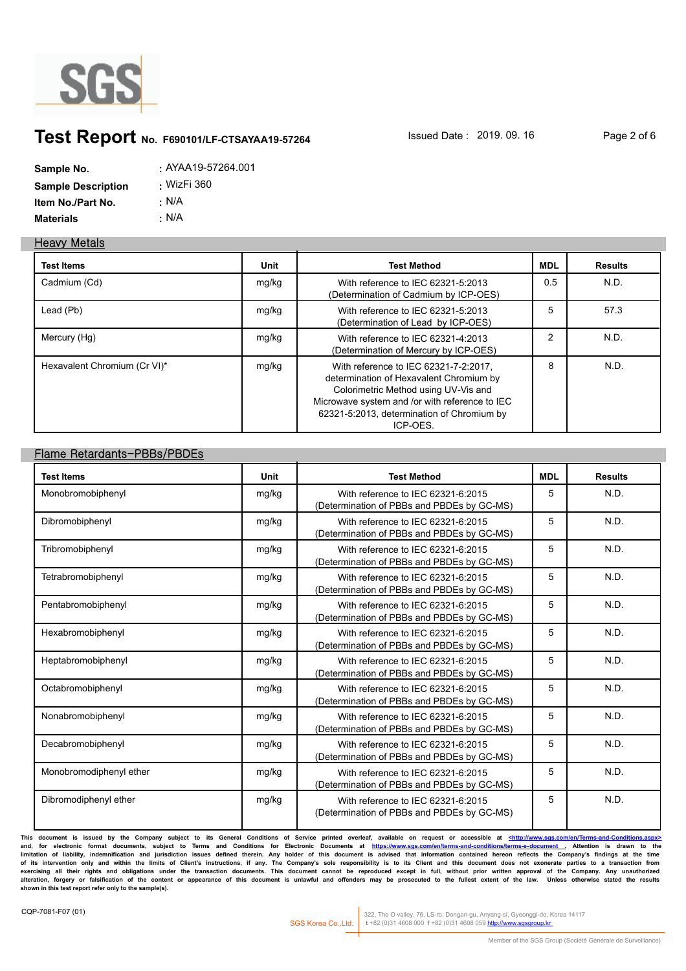

### **Test Report** No. F690101/LF-CTSAYAA19-57264 **Issued Date : 2019. 09. 16** Page 2 of 6

| Sample No.                | $:$ AYAA19-57264.001 |
|---------------------------|----------------------|
| <b>Sample Description</b> | <u>.</u> WizFi 360   |
| Item No./Part No.         | : N/A                |
| <b>Materials</b>          | ∴ N/A                |

#### **Heavy Metals**

| <b>Test Items</b>            | Unit  | <b>Test Method</b>                                                                                                                                                                                                                   | MDL            | <b>Results</b> |
|------------------------------|-------|--------------------------------------------------------------------------------------------------------------------------------------------------------------------------------------------------------------------------------------|----------------|----------------|
| Cadmium (Cd)                 | mg/kg | With reference to IEC 62321-5:2013<br>(Determination of Cadmium by ICP-OES)                                                                                                                                                          | 0.5            | N.D.           |
| Lead (Pb)                    | mg/kg | With reference to IEC 62321-5:2013<br>(Determination of Lead by ICP-OES)                                                                                                                                                             | 5              | 57.3           |
| Mercury (Hg)                 | mg/kg | With reference to IEC 62321-4:2013<br>(Determination of Mercury by ICP-OES)                                                                                                                                                          | $\mathfrak{p}$ | N.D.           |
| Hexavalent Chromium (Cr VI)* | mg/kg | With reference to IEC 62321-7-2:2017,<br>determination of Hexavalent Chromium by<br>Colorimetric Method using UV-Vis and<br>Microwave system and /or with reference to IEC<br>62321-5:2013, determination of Chromium by<br>ICP-OES. | 8              | N.D.           |

### **Flame Retardants-PBBs/PBDEs**

| <b>Test Items</b>       | Unit  | <b>Test Method</b>                                                               | <b>MDL</b> | <b>Results</b> |
|-------------------------|-------|----------------------------------------------------------------------------------|------------|----------------|
| Monobromobiphenyl       | mg/kg | With reference to IEC 62321-6:2015<br>(Determination of PBBs and PBDEs by GC-MS) | 5          | N.D.           |
| Dibromobiphenyl         | mg/kg | With reference to IEC 62321-6:2015<br>(Determination of PBBs and PBDEs by GC-MS) | 5          | N.D.           |
| Tribromobiphenyl        | mg/kg | With reference to IEC 62321-6:2015<br>(Determination of PBBs and PBDEs by GC-MS) | 5          | N.D.           |
| Tetrabromobiphenyl      | mg/kg | With reference to IEC 62321-6:2015<br>(Determination of PBBs and PBDEs by GC-MS) | 5          | N.D.           |
| Pentabromobiphenyl      | mg/kg | With reference to IEC 62321-6:2015<br>(Determination of PBBs and PBDEs by GC-MS) | 5          | N.D.           |
| Hexabromobiphenyl       | mg/kg | With reference to IEC 62321-6:2015<br>(Determination of PBBs and PBDEs by GC-MS) | 5          | N.D.           |
| Heptabromobiphenyl      | mg/kg | With reference to IEC 62321-6:2015<br>(Determination of PBBs and PBDEs by GC-MS) | 5          | N.D.           |
| Octabromobiphenyl       | mg/kg | With reference to IEC 62321-6:2015<br>(Determination of PBBs and PBDEs by GC-MS) | 5          | N.D.           |
| Nonabromobiphenyl       | mg/kg | With reference to IEC 62321-6:2015<br>(Determination of PBBs and PBDEs by GC-MS) | 5          | N.D.           |
| Decabromobiphenyl       | mg/kg | With reference to IEC 62321-6:2015<br>(Determination of PBBs and PBDEs by GC-MS) | 5          | N.D.           |
| Monobromodiphenyl ether | mg/kg | With reference to IEC 62321-6:2015<br>(Determination of PBBs and PBDEs by GC-MS) | 5          | N.D.           |
| Dibromodiphenyl ether   | mg/kg | With reference to IEC 62321-6:2015<br>(Determination of PBBs and PBDEs by GC-MS) | 5          | N.D.           |

**This document is issued by the Company subject to its General Conditions of Service printed overleaf, available on request or accessible at <http://www.sgs.com/en/Terms-and-Conditions.aspx>** In this concument is ussued by the Company subject to Terms and Conditions of Service prime overlear, available on request or accessible at the conditions of electronic format document is advised that information contained limitation of liability, indemnification and jurisdiction issues defined therein. Any holder of this document is advised that information contained hereon reflects the Company's findings at the time<br>of its intervention onl exercising all their rights and obligations under the transaction documents. This document cannot be reproduced except in full, without prior written approval of the Company. Any unauthorized<br>alteration, forgery or falsifi **shown in this test report refer only to the sample(s).**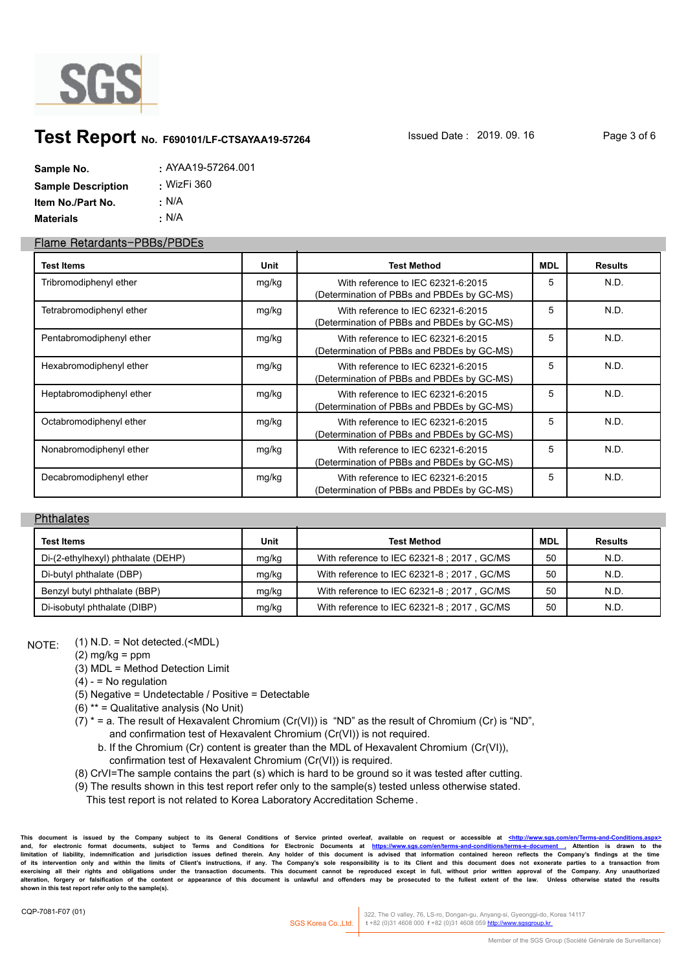

### **Test Report** No. F690101/LF-CTSAYAA19-57264 **Issued Date : 2019. 09. 16** Page 3 of 6

| Sample No.                | . AYAA19-57264.001 |
|---------------------------|--------------------|
| <b>Sample Description</b> | <u>.</u> WizFi 360 |
| Item No./Part No.         | ∴ N/A              |
| <b>Materials</b>          | ∴ N/A              |

#### **Flame Retardants-PBBs/PBDEs**

| <b>Test Items</b>        | Unit  | <b>Test Method</b>                                                               | MDL | <b>Results</b> |
|--------------------------|-------|----------------------------------------------------------------------------------|-----|----------------|
| Tribromodiphenyl ether   | mg/kg | With reference to IEC 62321-6:2015<br>(Determination of PBBs and PBDEs by GC-MS) | 5   | N.D.           |
| Tetrabromodiphenyl ether | mg/kg | With reference to IEC 62321-6:2015<br>(Determination of PBBs and PBDEs by GC-MS) | 5   | N.D.           |
| Pentabromodiphenyl ether | mg/kg | With reference to IEC 62321-6:2015<br>(Determination of PBBs and PBDEs by GC-MS) | 5   | N.D.           |
| Hexabromodiphenyl ether  | mg/kg | With reference to IEC 62321-6:2015<br>(Determination of PBBs and PBDEs by GC-MS) | 5   | N.D.           |
| Heptabromodiphenyl ether | mg/kg | With reference to IEC 62321-6:2015<br>(Determination of PBBs and PBDEs by GC-MS) | 5   | N.D.           |
| Octabromodiphenyl ether  | mg/kg | With reference to IEC 62321-6:2015<br>(Determination of PBBs and PBDEs by GC-MS) | 5   | N.D.           |
| Nonabromodiphenyl ether  | mg/kg | With reference to IEC 62321-6:2015<br>(Determination of PBBs and PBDEs by GC-MS) | 5   | N.D.           |
| Decabromodiphenyl ether  | mg/kg | With reference to IEC 62321-6:2015<br>(Determination of PBBs and PBDEs by GC-MS) | 5   | N.D.           |

#### **Phthalates**

| <b>Test Items</b>                  | Unit  | <b>Test Method</b>                          | <b>MDL</b> | <b>Results</b> |
|------------------------------------|-------|---------------------------------------------|------------|----------------|
| Di-(2-ethylhexyl) phthalate (DEHP) | mg/kg | With reference to IEC 62321-8 ; 2017, GC/MS | 50         | N.D.           |
| Di-butyl phthalate (DBP)           | mg/kg | With reference to IEC 62321-8 ; 2017, GC/MS | 50         | N.D.           |
| Benzyl butyl phthalate (BBP)       | mg/kg | With reference to IEC 62321-8 ; 2017, GC/MS | 50         | N.D.           |
| Di-isobutyl phthalate (DIBP)       | mg/kg | With reference to IEC 62321-8 ; 2017, GC/MS | 50         | N.D.           |

 $NOTF: (1) N.D. = Not detected. (**MDL**)$ 

- $(2)$  mg/kg = ppm
- (3) MDL = Method Detection Limit
- $(4) 10$  regulation
- (5) Negative = Undetectable / Positive = Detectable
- (6) \*\* = Qualitative analysis (No Unit)
- (7)  $*$  = a. The result of Hexavalent Chromium (Cr(VI)) is "ND" as the result of Chromium (Cr) is "ND", and confirmation test of Hexavalent Chromium (Cr(VI)) is not required.
	- b. If the Chromium (Cr) content is greater than the MDL of Hexavalent Chromium (Cr(VI)), confirmation test of Hexavalent Chromium (Cr(VI)) is required.
- (8) CrVI=The sample contains the part (s) which is hard to be ground so it was tested after cutting.
- (9) The results shown in this test report refer only to the sample(s) tested unless otherwise stated.
	- This test report is not related to Korea Laboratory Accreditation Scheme .

**This document is issued by the Company subject to its General Conditions of Service printed overleaf, available on request or accessible at <http://www.sgs.com/en/Terms-and-Conditions.aspx>** and, for electronic format documents, subject to Terms and Conditions for Electronic Documents at https://www.sgs.com/en/terms-and-conditions/terms-e-document . Attention is drawn to the<br>Iimitation of liability, indemnific of its intervention only and within the limits of Client's instructions, if any. The Company's sole responsibility is to its Client and this document does not exonerate parties to a transaction from<br>exercising all their ri alteration, forgery or falsification of the content or appearance of this document is unlawful and offenders may be prosecuted to the fullest extent of the law. Unless otherwise stated the results **shown in this test report refer only to the sample(s).**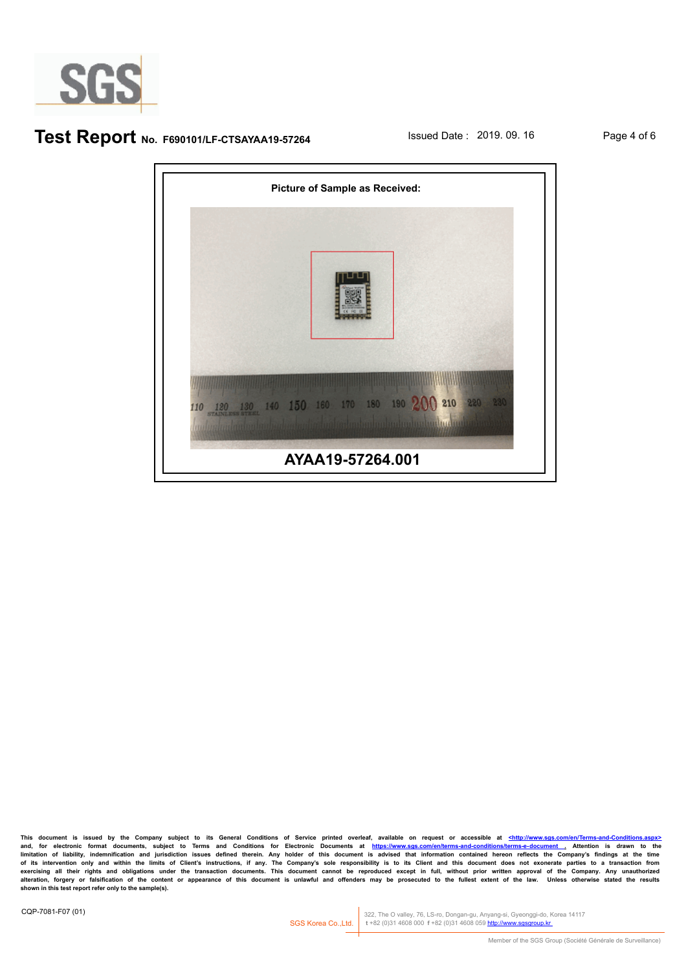

### **Test Report** No. F690101/LF-CTSAYAA19-57264 **Issued Date : 2019. 09. 16** Page 4 of 6



**This document is issued by the Company subject to its General Conditions of Service printed overleaf, available on request or accessible at <http://www.sgs.com/en/Terms-and-Conditions.aspx>** and, for electronic format documents, subject to Terms and Conditions for Electronic Documents at https://www.sgs.com/en/terms-and-conditions/terms-e-document\_. Attention is drawn to the<br>Ilmitation of liability, indemnific limitation of liability, indemnification and jurisdiction issues defined therein. Any holder of this document is advised that information contained hereon reflects the Company's findings at the time<br>of its intervention onl exercising all their rights and obligations under the transaction documents. This document cannot be reproduced except in full, without prior written approval of the Company. Any unauthorized<br>alteration, forgery or falsifi **shown in this test report refer only to the sample(s).**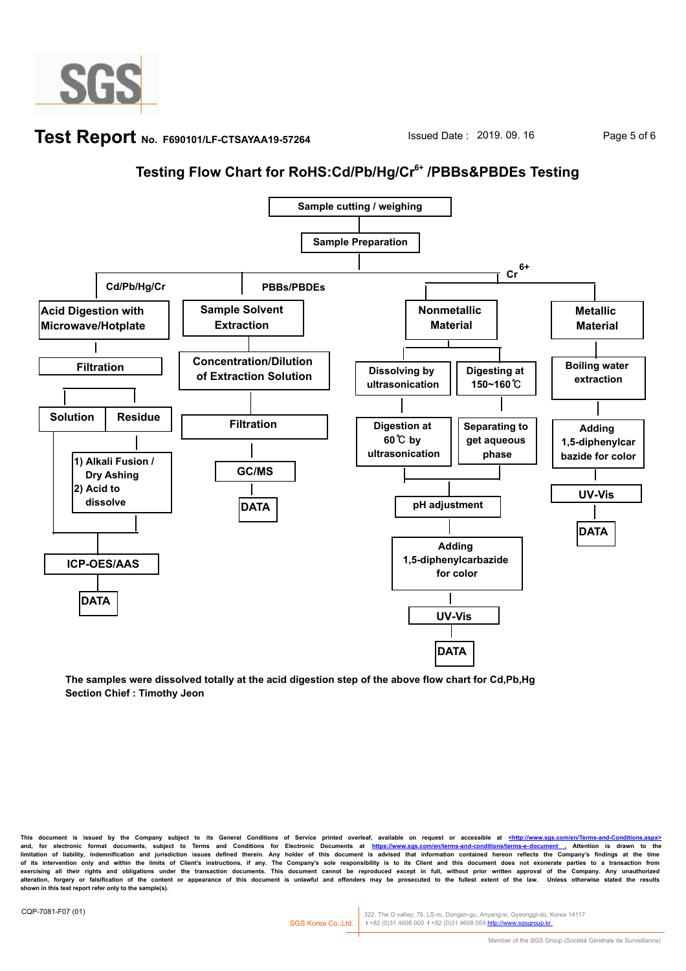

### **Test Report** No. F690101/LF-CTSAYAA19-57264 **Issued Date : 2019. 09. 16** Page 5 of 6

# **Testing Flow Chart for RoHS:Cd/Pb/Hg/Cr6+ /PBBs&PBDEs Testing**



**The samples were dissolved totally at the acid digestion step of the above flow chart for Cd,Pb,Hg Section Chief : Timothy Jeon**

**This document is issued by the Company subject to its General Conditions of Service printed overleaf, available on request or accessible at <http://www.sgs.com/en/Terms-and-Conditions.aspx>** and, for electronic format documents, subject to Terms and Conditions for Electronic Documents at https://www.sgs.com/en/terms-and-conditions/terms-e-document . Attention is drawn to the<br>Iimitation of liability, indemnific of its intervention only and within the limits of Client's instructions, if any. The Company's sole responsibility is to its Client and this document does not exonerate parties to a transaction from<br>exercising all their ri alteration, forgery or falsification of the content or appearance of this document is unlawful and offenders may be prosecuted to the fullest extent of the law. Unless otherwise stated the results **shown in this test report refer only to the sample(s).**